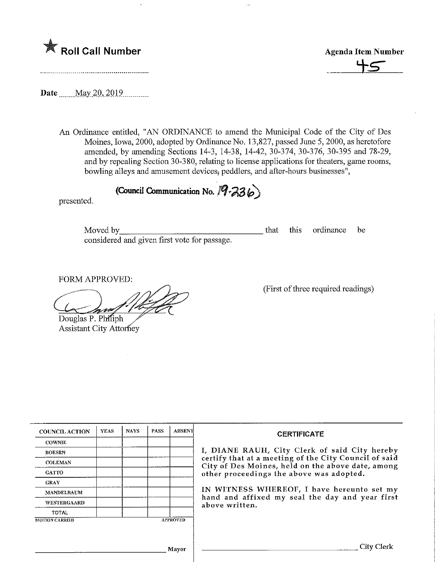

Agenda Item Number

Date ........May 20, 2019

An Ordinance entitled, "AN ORDFNANCE to amend the Municipal Code of the City of Des Moines, Iowa, 2000, adopted by Ordinance No. 13,827, passed June 5, 2000, as heretofore amended, by amending Sections 14-3, 14-38, 14-42, 30-374, 30-376, 30-395 and 78-29, and by repealing Section 30-380, relating to license applications for theaters, game rooms, bowling alleys and amusement devices, peddlers, and after-hours businesses",

(Council Communication No. 19-236)

presented.

Moved by that this ordinance be that this ordinance be considered and given first vote for passage.

FORM APPROVED:

Douglas P. Philiph

Assistant City Attorney

(First of three required readings)

| <b>COUNCIL ACTION</b> | <b>YEAS</b> | <b>NAYS</b> | <b>PASS</b> | <b>ABSENT</b>   |                                                                      |  |  |
|-----------------------|-------------|-------------|-------------|-----------------|----------------------------------------------------------------------|--|--|
| <b>COWNIE</b>         |             |             |             |                 |                                                                      |  |  |
| <b>BOESEN</b>         |             |             |             |                 | I, DIANE RAUI                                                        |  |  |
| <b>COLEMAN</b>        |             |             |             |                 | certify that at a<br>City of Des Moi                                 |  |  |
| <b>GATTO</b>          |             |             |             |                 | other proceedin<br>IN WITNESS W<br>hand and affixe<br>above written. |  |  |
| <b>GRAY</b>           |             |             |             |                 |                                                                      |  |  |
| <b>MANDELBAUM</b>     |             |             |             |                 |                                                                      |  |  |
| <b>WESTERGAARD</b>    |             |             |             |                 |                                                                      |  |  |
| TOTAL                 |             |             |             |                 |                                                                      |  |  |
| <b>MOTION CARRIED</b> |             |             |             | <b>APPROVED</b> |                                                                      |  |  |

#### **CERTIFICATE**

H, City Clerk of said City hereby meeting of the City Council of said nes, held on the above date, among gs the above was adopted.

HEREOF, I have hereunto set my ed my seal the day and year first

,] /layor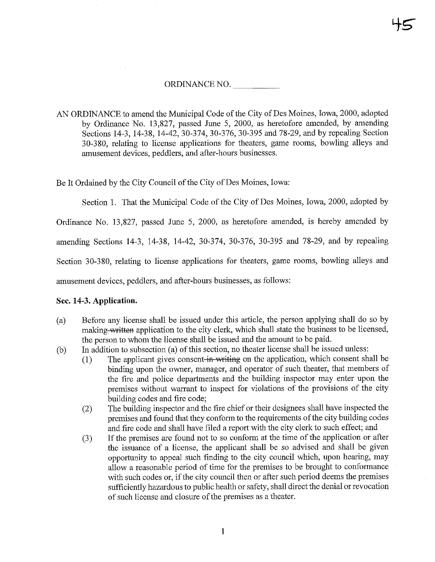# ORDINANCE NO.

AN ORDINANCE to amend the Municipal Code of the City of Des Moines, Iowa, 2000, adopted by Ordinance No. 13,827, passed June 5, 2000, as heretofore amended, by amending Sections 14-3, 14-38, 14-42, 30-374, 30-376, 30-395 and 78-29, and by repealing Section 30-380, relating to license applications for theaters, game rooms, bowling alleys and amusement devices, peddlers, and after-hours businesses.

Be It Ordained by the City Council of the City of Des Moines, Iowa:

Section 1. That the Municipal Code of the City of Des Moines, Iowa, 2000, adopted by

Ordinance No. 13,827, passed June 5, 2000, as heretofore amended, is hereby amended by

amending Sections 14-3, 14-38, 14-42, 30-374, 30-376, 30-395 and 78-29, and by repealing

Section 30-380, relating to license applications for theaters, game rooms, bowling alleys and

amusement devices, peddlers, and after-hours businesses, as follows:

# Sec. 14-3. Application.

- (a) Before any license shall be issued under this article, the person applymg shall do so by making written application to the city clerk, which shall state the business to be licensed, the person to whom the license shall be issued and the amount to be paid.
- (b) In addition to subsection (a) of this section, no theater license shall be issued unless:
	- (1) The applicant gives consent in writing on the application, which consent shall be binding upon the owner, manager, and operator of such theater, that members of the fire and police departments and the building inspector may enter upon the premises without warrant to inspect for violations of the provisions of the city building codes and fire code;
	- (2) The building inspector and the fire chief or their designees shall have inspected the premises and found that they conform to the requirements of the city building codes and fire code and shall have filed a report with the city clerk to such effect; and
	- (3) If the premises are found not to so conform at the time of the application or after .the issuance of a license, the applicant shall be so advised and shall be given opportunity to appeal such finding to the city council which, upon hearing, may allow a reasonable period of time for the premises to be brought to conformance with such codes or, if the city council then or after such period deems the premises sufficiently hazardous to public health or safety, shall direct the denial or revocation of such license and closure of the premises as a theater.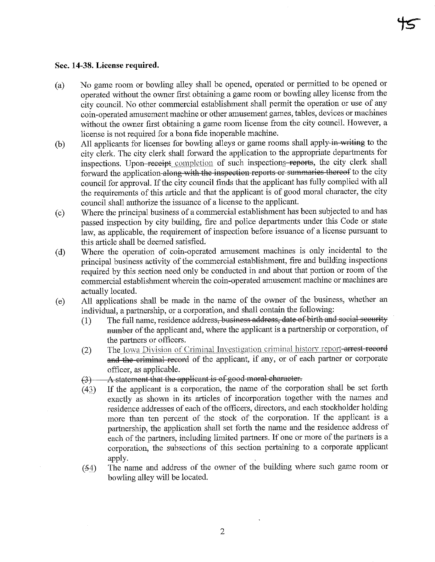#### Sec. 14-38. License required.

- (a) No game room or bowling alley shall be opened, operated or permitted to be opened or operated without the owner first obtaining a game room or bowling alley license from the city council. No other commercial establishment shall permit the operation or use of any coin-operated amusement machine or other amusement games, tables, devices or machines without the owner first obtaining a game room license from the city council. However, a license is not required for a bona fide inoperable machine.
- (b) All applicants for licenses for bowling alleys or game rooms shall apply-in-writing to the city clerk. The city clerk shall forward the application to the appropriate departments for inspections. Upon receipt completion of such inspections reports, the city clerk shall forward the application along with the inspection reports or summaries thereof to the city council for approval. If the city council finds that the applicant has fully complied with all the requirements of this article and that the applicant is of good moral character, the city council shall authorize the issuance of a license to the applicant.
- (c) Where the principal business of a commercial establishment has been subjected to and has passed mspection by city building, fire and police departments under this Code or state law, as applicable, the requirement of inspection before issuance of a license pursuant to this article shall be deemed satisfied.
- (d) Where the operation of coin-operated amusement machines is only incidental to the principal business activity of the commercial establishment, fire and building inspections required by this section need only be conducted in and about that portion or room of the commercial establishment wherein the coin-operated amusement machine or machines are actually located.
- (e) All applications shall be made in the name of the owner of the business, whether an individual, a partnership, or a corporation, and shall contain the following:
	- $(1)$  The full name, residence address, business address, date of birth and social security number of the applicant and, where the applicant is a partnership or corporation, of the partners or officers.
	- (2) The Iowa Division of Criminal Investigation criminal history report-arrest record and the criminal record of the applicant, if any, or of each partner or corporate officer, as applicable.
	- $(3)$   $\longrightarrow$  A statement that the applicant is of good moral character.
	- (43) If the applicant is a corporation, the name of the corporation shall be set forth exactly as shown in its articles of incorporation together with the names and residence addresses of each of the officers, directors, and each stockholder holding more than ten percent of the stock of the corporation. If the applicant is a partnership, the application shall set forth the name and the residence address of each of the partners, including limited partners. If one or more of the partners is a corporation, the subsections of this section pertaining to a corporate applicant apply.
	- $(54)$  The name and address of the owner of the building where such game room or bowling alley will be located.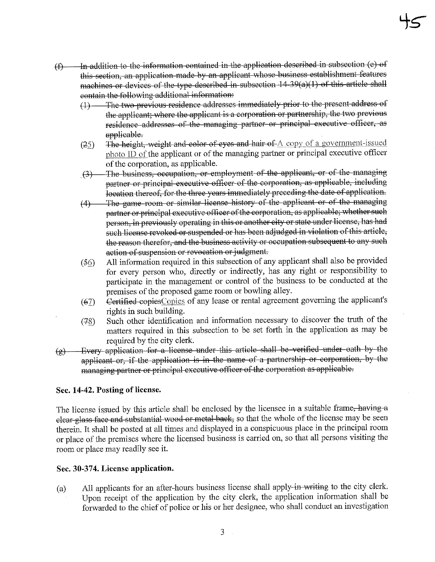- $(f)$  In addition to the information contained in the application described in subsection (e) of this section, an application made by an applicant whose business establishment features machines or devices of the type described in subsection  $14-39(a)(1)$  of this article shall contain the following additional information:
	- (1)—The two previous residence addresses immediately prior to the present address of the applicant; where the applicant is a corporation or partnership, the two previous residence addresses of the managing partner or principal executive officer, as applicable.
	- (25) The height, weight and color of eyes and hair of  $A$  copy of a government-issued )hoto ID of the applicant or of the managing partner or principal executive officer of the corporation, as applicable.
	- \_(3-)—The businosB, occupation, or employment of the applicant, or of the managing partner or principal executive officer of the corporation, as applicable, including location thereof, for the three years immediately preceding the date of application.
	- (4)—The game room or similar license history of the applicant or of the managing partner or principal executive officer of the corporation, as applicable; whether such person, in previously operating in this or another city or state under license, has had such license revoked or suspended or has been adjudged in violation of this article, the reason therefor, and the business activity or occupation subsequent to any such action of suspension or revocation or judgment.
	- (^6) All information required in this subsection of any applicant shall also be provided for every person who, directly or indirectly, has any right or responsibility to participate in the management or control of the business to be conducted at the premises of the proposed game room or bowling alley.
	- $(67)$  Certified copies Copies of any lease or rental agreement governing the applicant's rights in such building.
	- (78) Such other identification and mformation necessary to discover the tmth of the matters required in this subsection to be set forth in the application as may be required by the city clerk.
- $(g)$  Every application for a license under this article shall be verified under oath by the applicant or, if the application is in the name of a partnership or corporation, by the managing partner or principal executive officer of the corporation as applicable.

# Sec. 14-42. Posting of license.

The license issued by this article shall be enclosed by the licensee in a suitable frame, having a clear glass face and substantial wood or metal back, so that the whole of the license may be seen therein. It shall be posted at all times and displayed m a conspicuous place in the principal room or place of the premises where the licensed business is carried on, so that all persons visiting the room or place may readily see it.

### Sec. 30-374. License application.

(a) All applicants for an after-hours business license shall apply-in-writing to the city clerk. Upon receipt of the application by the city clerk, the application information shall be forwarded to the chief of police or his or her designee, who shall conduct an investigation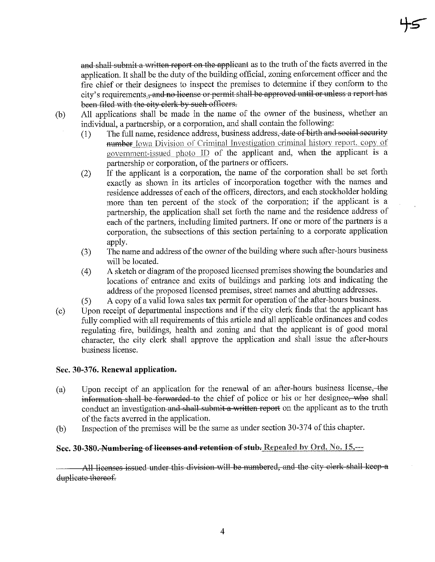and shall submit a written report on the applicant as to the truth of the facts averred in the application. It shall be the duty of the building official, zoning enforcement officer and the fire chief or their designees to inspect the premises to determine if they conform to the city's requirements. and no license or permit shall be approved until or unless a report has been filed with the city clerk by such officers.

(b) All applications shall be made in the name of the owner of the business, whether an individual, a partnership, or a corporation, and shall contain the following:

- (1) The full name, residence address, business address, date of birth and social security number Iowa Division of Criminal Investigation criminal history report, copy of government-issued photo  $ID$  of the applicant and, when the applicant is a partnership or corporation, of the partners or officers.
- (2) If the applicant is a corporation, the name of the corporation shall be set forth exactly as shown in its articles of incorporation together with the names and residence addresses of each of the officers, directors, and each stockholder holding more than ten percent of the stock of the corporation; if the applicant is a partnership, the application shall set forth the name and the residence address of each of the partners, including limited partners. If one or more of the partners is a corporation, the subsections of this section pertaining to a corporate application apply.
- (3) The name and address of the owner of the building where such after-hours business will be located.
- (4) A sketch or diagram of the proposed licensed premises showing the boundaries and locations of entrance and exits of buildings and parking lots and indicating the address of the proposed licensed premises, street names and abutting addresses.
- $(5)$  A copy of a valid Iowa sales tax permit for operation of the after-hours business.
- (c) Upon receipt of departmental inspections and if the city clerk finds that the applicant has fully complied with all requirements of this article and all applicable ordinances and codes regulating fire, buildings, health and zoning and that the applicant is of good moral character, the city clerk shall approve the application and shall issue the after-hours business license.

# Sec. 30-376. Renewal application.

- (a) Upon receipt of an application for the renewal of an after-hours business license, the information shall be forwarded to the chief of police or his or her designee, who shall conduct an investigation and shall submit a written report on the applicant as to the truth of the facts averred in the application.
- (b) Inspection of the premises will be the same as under section 30-374 of this chapter.

# Sec. 30-380. Numbering of licenses and retention of stub. Repealed by Ord. No. 15,---

All licenses issued under this division will be numbered, and the city clerk shall keep a duplicate thereof.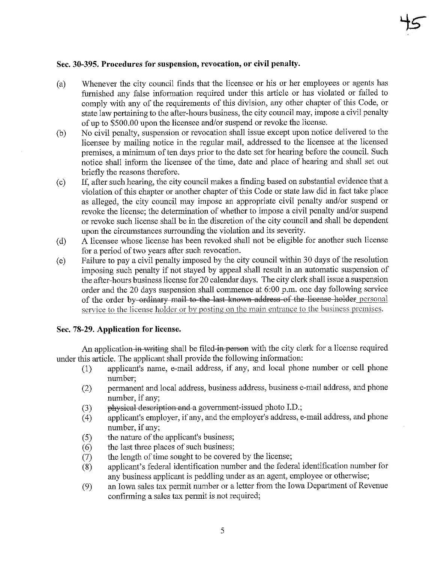#### Sec. 30-395. Procedures for suspension, revocation, or civil penalty.

- (a) Whenever the city council finds that the licensee or his or her employees or agents has furnished any false information required under this article or has violated or failed to comply with any of the requirements of this division, any other chapter of this Code, or state law pertaining to the after-hours business, the city council may, impose a civil penalty of up to \$500.00 upon the licensee and/or suspend or revoke the license.
- (b) No civil penalty, suspension or revocation shall issue except upon notice delivered to the licensee by mailing notice in the regular mail, addressed to the licensee at the licensed premises, a minimum of ten days prior to the date set for hearing before the council. Such notice shall inform the licensee of the time, date and place of hearing and shall set out briefly the reasons therefore.
- (c) If, after such hearing, the city council makes a finding based on substantial evidence that a violation of this chapter or another chapter of this Code or state law did in fact take place as alleged, the city council may impose an appropriate civil penalty and/or suspend or revoke the license; the determination of whether to impose a civil penalty and/or suspend or revoke such license shall be in the discretion of the city council and shall be dependent upon the circumstances surrounding the violation and its severity.
- (d) A licensee whose license has been revoked shall not be eligible for another such license for a period of two years after such revocation.
- (e) Failure to pay a civil penalty imposed by the city council within 30 days of the resolution imposing such penalty if not stayed by appeal shall result in an automatic suspension of the after-hours business license for 20 calendar days. The city clerk shall issue a suspension order and the 20 days suspension shall commence at 6:00 p.m. one day following service of the order by-ordinary mail to the last known address of the license holder personal service to the license holder or by posting on the main entrance to the business premises.

#### Sec. 78-29. Application for license.

An application in writing shall be filed in person with the city clerk for a license required under this article. The applicant shall provide the following information:

- (1) applicant's name, e-mail address, if any, and local phone number or cell phone number;
- (2) permanent and local address, business address, business e-mail address, and phone number, if any;
- (3) physical description and a govemment-issued photo I.D.;
- (4) applicant's employer, if any, and the employer's address, e-mail address, and phone number, if any;
- (5) the nature of the applicant's business;
- $(6)$  the last three places of such business;
- (7) the length of time sought to be covered by the license;
- (8) applicant's federal identification number and the federal identification number for any business applicant is peddling under as an agent, employee or otherwise;
- (9) an Iowa sales tax permit number or a letter from the Iowa Department of Revenue confirming a sales tax permit is not required;